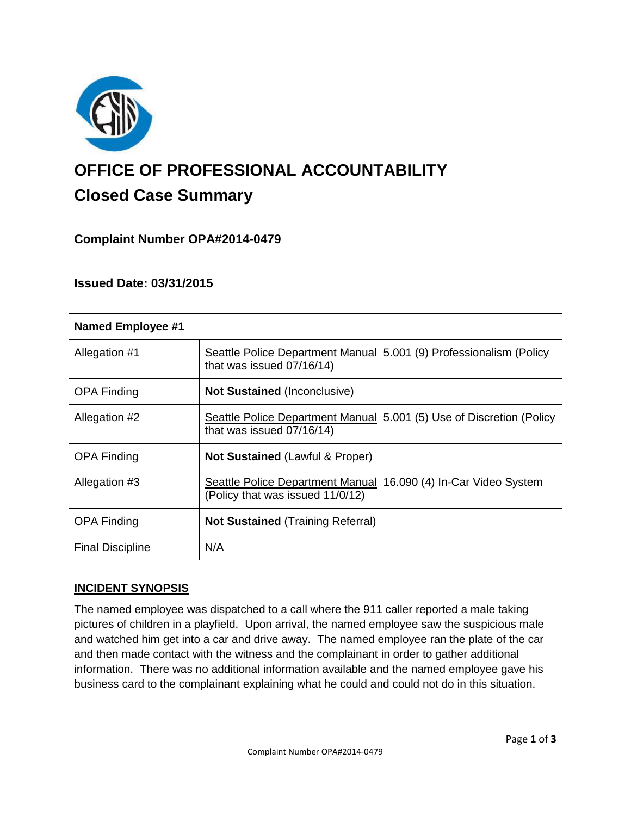

# **OFFICE OF PROFESSIONAL ACCOUNTABILITY Closed Case Summary**

# **Complaint Number OPA#2014-0479**

## **Issued Date: 03/31/2015**

| <b>Named Employee #1</b> |                                                                                                     |
|--------------------------|-----------------------------------------------------------------------------------------------------|
| Allegation #1            | Seattle Police Department Manual 5.001 (9) Professionalism (Policy<br>that was issued 07/16/14)     |
| <b>OPA Finding</b>       | <b>Not Sustained (Inconclusive)</b>                                                                 |
| Allegation #2            | Seattle Police Department Manual 5.001 (5) Use of Discretion (Policy<br>that was issued 07/16/14)   |
| <b>OPA Finding</b>       | <b>Not Sustained (Lawful &amp; Proper)</b>                                                          |
| Allegation #3            | Seattle Police Department Manual 16.090 (4) In-Car Video System<br>(Policy that was issued 11/0/12) |
| <b>OPA Finding</b>       | <b>Not Sustained</b> (Training Referral)                                                            |
| <b>Final Discipline</b>  | N/A                                                                                                 |

### **INCIDENT SYNOPSIS**

The named employee was dispatched to a call where the 911 caller reported a male taking pictures of children in a playfield. Upon arrival, the named employee saw the suspicious male and watched him get into a car and drive away. The named employee ran the plate of the car and then made contact with the witness and the complainant in order to gather additional information. There was no additional information available and the named employee gave his business card to the complainant explaining what he could and could not do in this situation.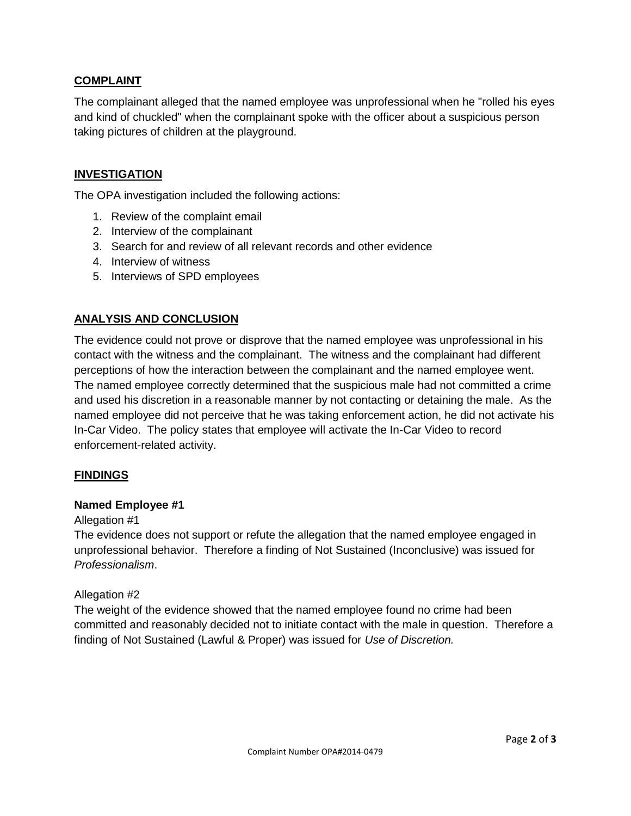## **COMPLAINT**

The complainant alleged that the named employee was unprofessional when he "rolled his eyes and kind of chuckled" when the complainant spoke with the officer about a suspicious person taking pictures of children at the playground.

## **INVESTIGATION**

The OPA investigation included the following actions:

- 1. Review of the complaint email
- 2. Interview of the complainant
- 3. Search for and review of all relevant records and other evidence
- 4. Interview of witness
- 5. Interviews of SPD employees

## **ANALYSIS AND CONCLUSION**

The evidence could not prove or disprove that the named employee was unprofessional in his contact with the witness and the complainant. The witness and the complainant had different perceptions of how the interaction between the complainant and the named employee went. The named employee correctly determined that the suspicious male had not committed a crime and used his discretion in a reasonable manner by not contacting or detaining the male. As the named employee did not perceive that he was taking enforcement action, he did not activate his In-Car Video. The policy states that employee will activate the In-Car Video to record enforcement-related activity.

#### **FINDINGS**

#### **Named Employee #1**

#### Allegation #1

The evidence does not support or refute the allegation that the named employee engaged in unprofessional behavior. Therefore a finding of Not Sustained (Inconclusive) was issued for *Professionalism*.

#### Allegation #2

The weight of the evidence showed that the named employee found no crime had been committed and reasonably decided not to initiate contact with the male in question. Therefore a finding of Not Sustained (Lawful & Proper) was issued for *Use of Discretion.*